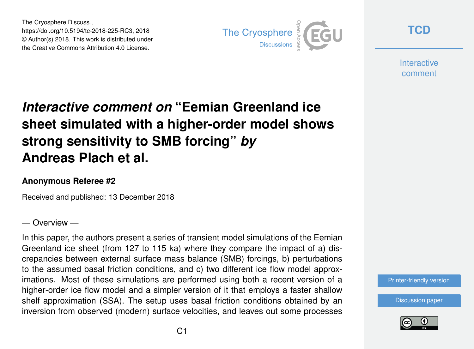The Cryosphere Discuss., https://doi.org/10.5194/tc-2018-225-RC3, 2018 © Author(s) 2018. This work is distributed under the Creative Commons Attribution 4.0 License.



**[TCD](https://www.the-cryosphere-discuss.net/)**

**Interactive** comment

# *Interactive comment on* **"Eemian Greenland ice sheet simulated with a higher-order model shows strong sensitivity to SMB forcing"** *by* **Andreas Plach et al.**

#### **Anonymous Referee #2**

Received and published: 13 December 2018

#### — Overview —

In this paper, the authors present a series of transient model simulations of the Eemian Greenland ice sheet (from 127 to 115 ka) where they compare the impact of a) discrepancies between external surface mass balance (SMB) forcings, b) perturbations to the assumed basal friction conditions, and c) two different ice flow model approximations. Most of these simulations are performed using both a recent version of a higher-order ice flow model and a simpler version of it that employs a faster shallow shelf approximation (SSA). The setup uses basal friction conditions obtained by an inversion from observed (modern) surface velocities, and leaves out some processes

[Printer-friendly version](https://www.the-cryosphere-discuss.net/tc-2018-225/tc-2018-225-RC3-print.pdf)

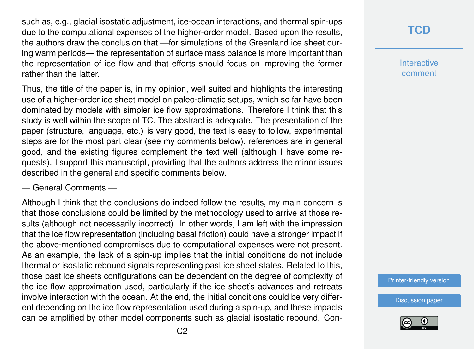such as, e.g., glacial isostatic adjustment, ice-ocean interactions, and thermal spin-ups due to the computational expenses of the higher-order model. Based upon the results, the authors draw the conclusion that —for simulations of the Greenland ice sheet during warm periods— the representation of surface mass balance is more important than the representation of ice flow and that efforts should focus on improving the former rather than the latter.

Thus, the title of the paper is, in my opinion, well suited and highlights the interesting use of a higher-order ice sheet model on paleo-climatic setups, which so far have been dominated by models with simpler ice flow approximations. Therefore I think that this study is well within the scope of TC. The abstract is adequate. The presentation of the paper (structure, language, etc.) is very good, the text is easy to follow, experimental steps are for the most part clear (see my comments below), references are in general good, and the existing figures complement the text well (although I have some requests). I support this manuscript, providing that the authors address the minor issues described in the general and specific comments below.

#### — General Comments —

Although I think that the conclusions do indeed follow the results, my main concern is that those conclusions could be limited by the methodology used to arrive at those results (although not necessarily incorrect). In other words, I am left with the impression that the ice flow representation (including basal friction) could have a stronger impact if the above-mentioned compromises due to computational expenses were not present. As an example, the lack of a spin-up implies that the initial conditions do not include thermal or isostatic rebound signals representing past ice sheet states. Related to this, those past ice sheets configurations can be dependent on the degree of complexity of the ice flow approximation used, particularly if the ice sheet's advances and retreats involve interaction with the ocean. At the end, the initial conditions could be very different depending on the ice flow representation used during a spin-up, and these impacts can be amplified by other model components such as glacial isostatic rebound. Con-

### **[TCD](https://www.the-cryosphere-discuss.net/)**

**Interactive** comment

[Printer-friendly version](https://www.the-cryosphere-discuss.net/tc-2018-225/tc-2018-225-RC3-print.pdf)

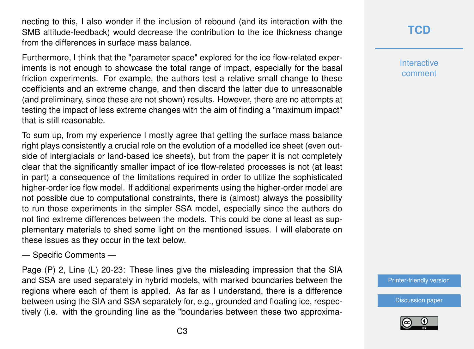necting to this, I also wonder if the inclusion of rebound (and its interaction with the SMB altitude-feedback) would decrease the contribution to the ice thickness change from the differences in surface mass balance.

Furthermore, I think that the "parameter space" explored for the ice flow-related experiments is not enough to showcase the total range of impact, especially for the basal friction experiments. For example, the authors test a relative small change to these coefficients and an extreme change, and then discard the latter due to unreasonable (and preliminary, since these are not shown) results. However, there are no attempts at testing the impact of less extreme changes with the aim of finding a "maximum impact" that is still reasonable.

To sum up, from my experience I mostly agree that getting the surface mass balance right plays consistently a crucial role on the evolution of a modelled ice sheet (even outside of interglacials or land-based ice sheets), but from the paper it is not completely clear that the significantly smaller impact of ice flow-related processes is not (at least in part) a consequence of the limitations required in order to utilize the sophisticated higher-order ice flow model. If additional experiments using the higher-order model are not possible due to computational constraints, there is (almost) always the possibility to run those experiments in the simpler SSA model, especially since the authors do not find extreme differences between the models. This could be done at least as supplementary materials to shed some light on the mentioned issues. I will elaborate on these issues as they occur in the text below.

— Specific Comments —

Page (P) 2, Line (L) 20-23: These lines give the misleading impression that the SIA and SSA are used separately in hybrid models, with marked boundaries between the regions where each of them is applied. As far as I understand, there is a difference between using the SIA and SSA separately for, e.g., grounded and floating ice, respectively (i.e. with the grounding line as the "boundaries between these two approxima**[TCD](https://www.the-cryosphere-discuss.net/)**

**Interactive** comment

[Printer-friendly version](https://www.the-cryosphere-discuss.net/tc-2018-225/tc-2018-225-RC3-print.pdf)

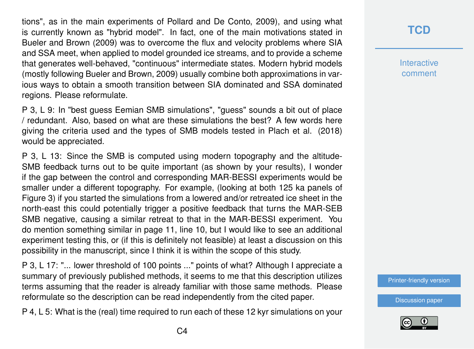tions", as in the main experiments of Pollard and De Conto, 2009), and using what is currently known as "hybrid model". In fact, one of the main motivations stated in Bueler and Brown (2009) was to overcome the flux and velocity problems where SIA and SSA meet, when applied to model grounded ice streams, and to provide a scheme that generates well-behaved, "continuous" intermediate states. Modern hybrid models (mostly following Bueler and Brown, 2009) usually combine both approximations in various ways to obtain a smooth transition between SIA dominated and SSA dominated regions. Please reformulate.

P 3, L 9: In "best guess Eemian SMB simulations", "guess" sounds a bit out of place / redundant. Also, based on what are these simulations the best? A few words here giving the criteria used and the types of SMB models tested in Plach et al. (2018) would be appreciated.

P 3, L 13: Since the SMB is computed using modern topography and the altitude-SMB feedback turns out to be quite important (as shown by your results), I wonder if the gap between the control and corresponding MAR-BESSI experiments would be smaller under a different topography. For example, (looking at both 125 ka panels of Figure 3) if you started the simulations from a lowered and/or retreated ice sheet in the north-east this could potentially trigger a positive feedback that turns the MAR-SEB SMB negative, causing a similar retreat to that in the MAR-BESSI experiment. You do mention something similar in page 11, line 10, but I would like to see an additional experiment testing this, or (if this is definitely not feasible) at least a discussion on this possibility in the manuscript, since I think it is within the scope of this study.

P 3, L 17: "... lower threshold of 100 points ..." points of what? Although I appreciate a summary of previously published methods, it seems to me that this description utilizes terms assuming that the reader is already familiar with those same methods. Please reformulate so the description can be read independently from the cited paper.

P 4, L 5: What is the (real) time required to run each of these 12 kyr simulations on your

#### **[TCD](https://www.the-cryosphere-discuss.net/)**

**Interactive** comment

[Printer-friendly version](https://www.the-cryosphere-discuss.net/tc-2018-225/tc-2018-225-RC3-print.pdf)

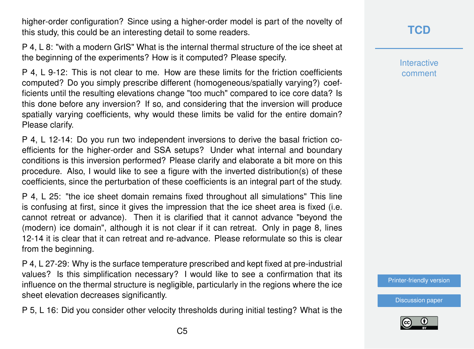higher-order configuration? Since using a higher-order model is part of the novelty of this study, this could be an interesting detail to some readers.

P 4, L 8: "with a modern GrIS" What is the internal thermal structure of the ice sheet at the beginning of the experiments? How is it computed? Please specify.

P 4, L 9-12: This is not clear to me. How are these limits for the friction coefficients computed? Do you simply prescribe different (homogeneous/spatially varying?) coefficients until the resulting elevations change "too much" compared to ice core data? Is this done before any inversion? If so, and considering that the inversion will produce spatially varying coefficients, why would these limits be valid for the entire domain? Please clarify.

P 4, L 12-14: Do you run two independent inversions to derive the basal friction coefficients for the higher-order and SSA setups? Under what internal and boundary conditions is this inversion performed? Please clarify and elaborate a bit more on this procedure. Also, I would like to see a figure with the inverted distribution(s) of these coefficients, since the perturbation of these coefficients is an integral part of the study.

P 4, L 25: "the ice sheet domain remains fixed throughout all simulations" This line is confusing at first, since it gives the impression that the ice sheet area is fixed (i.e. cannot retreat or advance). Then it is clarified that it cannot advance "beyond the (modern) ice domain", although it is not clear if it can retreat. Only in page 8, lines 12-14 it is clear that it can retreat and re-advance. Please reformulate so this is clear from the beginning.

P 4, L 27-29: Why is the surface temperature prescribed and kept fixed at pre-industrial values? Is this simplification necessary? I would like to see a confirmation that its influence on the thermal structure is negligible, particularly in the regions where the ice sheet elevation decreases significantly.

P 5, L 16: Did you consider other velocity thresholds during initial testing? What is the

## **[TCD](https://www.the-cryosphere-discuss.net/)**

**Interactive** comment

[Printer-friendly version](https://www.the-cryosphere-discuss.net/tc-2018-225/tc-2018-225-RC3-print.pdf)

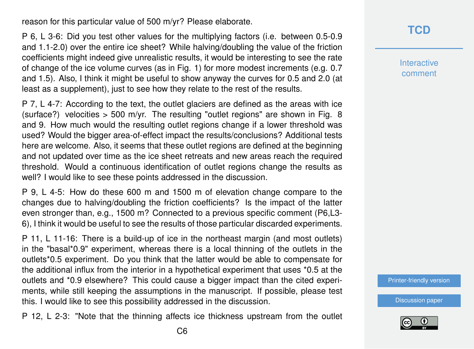reason for this particular value of 500 m/yr? Please elaborate.

P 6, L 3-6: Did you test other values for the multiplying factors (i.e. between 0.5-0.9 and 1.1-2.0) over the entire ice sheet? While halving/doubling the value of the friction coefficients might indeed give unrealistic results, it would be interesting to see the rate of change of the ice volume curves (as in Fig. 1) for more modest increments (e.g. 0.7 and 1.5). Also, I think it might be useful to show anyway the curves for 0.5 and 2.0 (at least as a supplement), just to see how they relate to the rest of the results.

P 7, L 4-7: According to the text, the outlet glaciers are defined as the areas with ice (surface?) velocities  $>$  500 m/yr. The resulting "outlet regions" are shown in Fig. 8 and 9. How much would the resulting outlet regions change if a lower threshold was used? Would the bigger area-of-effect impact the results/conclusions? Additional tests here are welcome. Also, it seems that these outlet regions are defined at the beginning and not updated over time as the ice sheet retreats and new areas reach the required threshold. Would a continuous identification of outlet regions change the results as well? I would like to see these points addressed in the discussion.

P 9, L 4-5: How do these 600 m and 1500 m of elevation change compare to the changes due to halving/doubling the friction coefficients? Is the impact of the latter even stronger than, e.g., 1500 m? Connected to a previous specific comment (P6,L3- 6), I think it would be useful to see the results of those particular discarded experiments.

P 11, L 11-16: There is a build-up of ice in the northeast margin (and most outlets) in the "basal\*0.9" experiment, whereas there is a local thinning of the outlets in the outlets\*0.5 experiment. Do you think that the latter would be able to compensate for the additional influx from the interior in a hypothetical experiment that uses \*0.5 at the outlets and \*0.9 elsewhere? This could cause a bigger impact than the cited experiments, while still keeping the assumptions in the manuscript. If possible, please test this. I would like to see this possibility addressed in the discussion.

P 12, L 2-3: "Note that the thinning affects ice thickness upstream from the outlet

**[TCD](https://www.the-cryosphere-discuss.net/)**

**Interactive** comment

[Printer-friendly version](https://www.the-cryosphere-discuss.net/tc-2018-225/tc-2018-225-RC3-print.pdf)

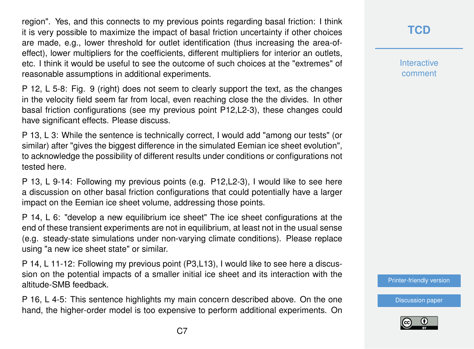region". Yes, and this connects to my previous points regarding basal friction: I think it is very possible to maximize the impact of basal friction uncertainty if other choices are made, e.g., lower threshold for outlet identification (thus increasing the area-ofeffect), lower multipliers for the coefficients, different multipliers for interior an outlets, etc. I think it would be useful to see the outcome of such choices at the "extremes" of reasonable assumptions in additional experiments.

P 12, L 5-8: Fig. 9 (right) does not seem to clearly support the text, as the changes in the velocity field seem far from local, even reaching close the the divides. In other basal friction configurations (see my previous point P12,L2-3), these changes could have significant effects. Please discuss.

P 13, L 3: While the sentence is technically correct, I would add "among our tests" (or similar) after "gives the biggest difference in the simulated Eemian ice sheet evolution", to acknowledge the possibility of different results under conditions or configurations not tested here.

P 13, L 9-14: Following my previous points (e.g. P12,L2-3), I would like to see here a discussion on other basal friction configurations that could potentially have a larger impact on the Eemian ice sheet volume, addressing those points.

P 14, L 6: "develop a new equilibrium ice sheet" The ice sheet configurations at the end of these transient experiments are not in equilibrium, at least not in the usual sense (e.g. steady-state simulations under non-varying climate conditions). Please replace using "a new ice sheet state" or similar.

P 14, L 11-12: Following my previous point (P3,L13), I would like to see here a discussion on the potential impacts of a smaller initial ice sheet and its interaction with the altitude-SMB feedback.

P 16, L 4-5: This sentence highlights my main concern described above. On the one hand, the higher-order model is too expensive to perform additional experiments. On **[TCD](https://www.the-cryosphere-discuss.net/)**

**Interactive** comment

[Printer-friendly version](https://www.the-cryosphere-discuss.net/tc-2018-225/tc-2018-225-RC3-print.pdf)

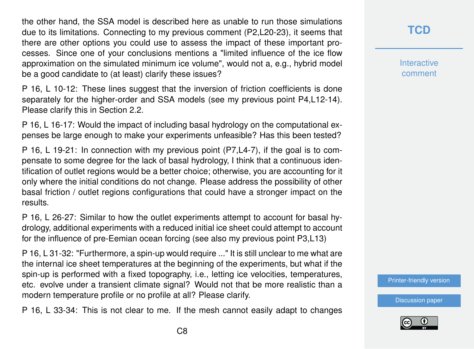the other hand, the SSA model is described here as unable to run those simulations due to its limitations. Connecting to my previous comment (P2,L20-23), it seems that there are other options you could use to assess the impact of these important processes. Since one of your conclusions mentions a "limited influence of the ice flow approximation on the simulated minimum ice volume", would not a, e.g., hybrid model be a good candidate to (at least) clarify these issues?

P 16, L 10-12: These lines suggest that the inversion of friction coefficients is done separately for the higher-order and SSA models (see my previous point P4,L12-14). Please clarify this in Section 2.2.

P 16, L 16-17: Would the impact of including basal hydrology on the computational expenses be large enough to make your experiments unfeasible? Has this been tested?

P 16, L 19-21: In connection with my previous point (P7,L4-7), if the goal is to compensate to some degree for the lack of basal hydrology, I think that a continuous identification of outlet regions would be a better choice; otherwise, you are accounting for it only where the initial conditions do not change. Please address the possibility of other basal friction / outlet regions configurations that could have a stronger impact on the results.

P 16, L 26-27: Similar to how the outlet experiments attempt to account for basal hydrology, additional experiments with a reduced initial ice sheet could attempt to account for the influence of pre-Eemian ocean forcing (see also my previous point P3,L13)

P 16, L 31-32: "Furthermore, a spin-up would require ..." It is still unclear to me what are the internal ice sheet temperatures at the beginning of the experiments, but what if the spin-up is performed with a fixed topography, i.e., letting ice velocities, temperatures, etc. evolve under a transient climate signal? Would not that be more realistic than a modern temperature profile or no profile at all? Please clarify.

P 16, L 33-34: This is not clear to me. If the mesh cannot easily adapt to changes

### **[TCD](https://www.the-cryosphere-discuss.net/)**

**Interactive** comment

[Printer-friendly version](https://www.the-cryosphere-discuss.net/tc-2018-225/tc-2018-225-RC3-print.pdf)

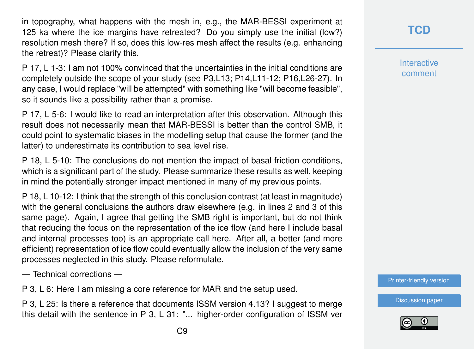in topography, what happens with the mesh in, e.g., the MAR-BESSI experiment at 125 ka where the ice margins have retreated? Do you simply use the initial (low?) resolution mesh there? If so, does this low-res mesh affect the results (e.g. enhancing the retreat)? Please clarify this.

P 17, L 1-3: I am not 100% convinced that the uncertainties in the initial conditions are completely outside the scope of your study (see P3,L13; P14,L11-12; P16,L26-27). In any case, I would replace "will be attempted" with something like "will become feasible", so it sounds like a possibility rather than a promise.

P 17, L 5-6: I would like to read an interpretation after this observation. Although this result does not necessarily mean that MAR-BESSI is better than the control SMB, it could point to systematic biases in the modelling setup that cause the former (and the latter) to underestimate its contribution to sea level rise.

P 18, L 5-10: The conclusions do not mention the impact of basal friction conditions, which is a significant part of the study. Please summarize these results as well, keeping in mind the potentially stronger impact mentioned in many of my previous points.

P 18, L 10-12: I think that the strength of this conclusion contrast (at least in magnitude) with the general conclusions the authors draw elsewhere (e.g. in lines 2 and 3 of this same page). Again, I agree that getting the SMB right is important, but do not think that reducing the focus on the representation of the ice flow (and here I include basal and internal processes too) is an appropriate call here. After all, a better (and more efficient) representation of ice flow could eventually allow the inclusion of the very same processes neglected in this study. Please reformulate.

— Technical corrections —

P 3, L 6: Here I am missing a core reference for MAR and the setup used.

P 3, L 25: Is there a reference that documents ISSM version 4.13? I suggest to merge this detail with the sentence in P 3, L 31: "... higher-order configuration of ISSM ver Interactive comment

[Printer-friendly version](https://www.the-cryosphere-discuss.net/tc-2018-225/tc-2018-225-RC3-print.pdf)